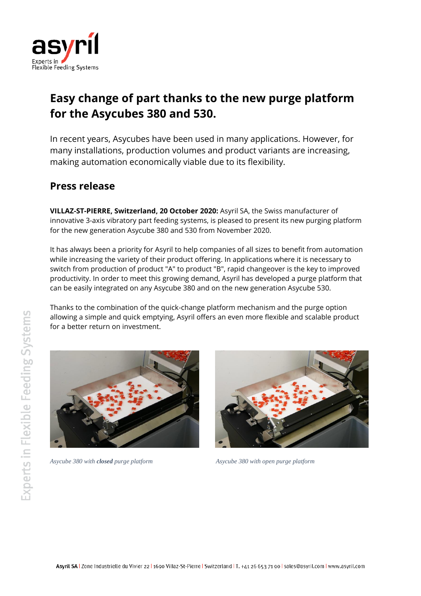

# **Easy change of part thanks to the new purge platform for the Asycubes 380 and 530.**

In recent years, Asycubes have been used in many applications. However, for many installations, production volumes and product variants are increasing, making automation economically viable due to its flexibility.

# **Press release**

**VILLAZ-ST-PIERRE, Switzerland, 20 October 2020:** Asyril SA, the Swiss manufacturer of innovative 3-axis vibratory part feeding systems, is pleased to present its new purging platform for the new generation Asycube 380 and 530 from November 2020.

It has always been a priority for Asyril to help companies of all sizes to benefit from automation while increasing the variety of their product offering. In applications where it is necessary to switch from production of product "A" to product "B", rapid changeover is the key to improved productivity. In order to meet this growing demand, Asyril has developed a purge platform that can be easily integrated on any Asycube 380 and on the new generation Asycube 530.

Thanks to the combination of the quick-change platform mechanism and the purge option allowing a simple and quick emptying, Asyril offers an even more flexible and scalable product for a better return on investment.



*Asycube 380 with closed purge platform Asycube 380 with open purge platform*

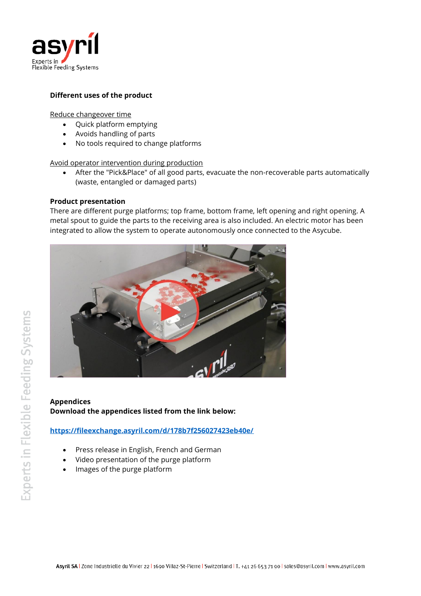

### **Different uses of the product**

Reduce changeover time

- Quick platform emptying
- Avoids handling of parts
- No tools required to change platforms

Avoid operator intervention during production

• After the "Pick&Place" of all good parts, evacuate the non-recoverable parts automatically (waste, entangled or damaged parts)

#### **Product presentation**

There are different purge platforms; top frame, bottom frame, left opening and right opening. A metal spout to guide the parts to the receiving area is also included. An electric motor has been integrated to allow the system to operate autonomously once connected to the Asycube.



## **Appendices Download the appendices listed from the link below:**

**<https://fileexchange.asyril.com/d/178b7f256027423eb40e/>**

- Press release in English, French and German
- Video presentation of the purge platform
- Images of the purge platform